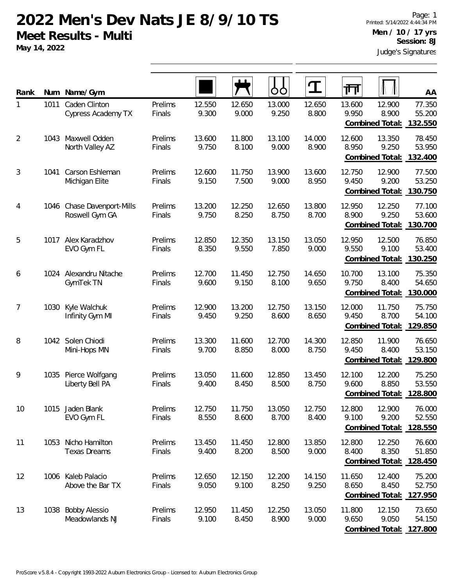**May 14, 2022**

| Rank           |      | Num Name/Gym                               |                   |                 |                 | OO              | ${\bf T}$       | 帀               |                                           | AA                                          |
|----------------|------|--------------------------------------------|-------------------|-----------------|-----------------|-----------------|-----------------|-----------------|-------------------------------------------|---------------------------------------------|
| 1              | 1011 | Caden Clinton<br>Cypress Academy TX        | Prelims<br>Finals | 12.550<br>9.300 | 12.650<br>9.000 | 13.000<br>9.250 | 12.650<br>8.800 | 13.600<br>9.950 | 12.900<br>8.900<br>Combined Total:        | 77.350<br>55.200<br>132.550                 |
| $\overline{2}$ | 1043 | Maxwell Odden<br>North Valley AZ           | Prelims<br>Finals | 13.600<br>9.750 | 11.800<br>8.100 | 13.100<br>9.000 | 14.000<br>8.900 | 12.600<br>8.950 | 13.350<br>9.250<br><b>Combined Total:</b> | 78.450<br>53.950<br>132.400                 |
| 3              | 1041 | Carson Eshleman<br>Michigan Elite          | Prelims<br>Finals | 12.600<br>9.150 | 11.750<br>7.500 | 13.900<br>9.000 | 13.600<br>8.950 | 12.750<br>9.450 | 12.900<br>9.200<br>Combined Total:        | 77.500<br>53.250<br>130.750                 |
| 4              | 1046 | Chase Davenport-Mills<br>Roswell Gym GA    | Prelims<br>Finals | 13.200<br>9.750 | 12.250<br>8.250 | 12.650<br>8.750 | 13.800<br>8.700 | 12.950<br>8.900 | 12.250<br>9.250<br><b>Combined Total:</b> | 77.100<br>53.600<br>130.700                 |
| 5              | 1017 | Alex Karadzhov<br>EVO Gym FL               | Prelims<br>Finals | 12.850<br>8.350 | 12.350<br>9.550 | 13.150<br>7.850 | 13.050<br>9.000 | 12.950<br>9.550 | 12.500<br>9.100<br><b>Combined Total:</b> | 76.850<br>53.400<br>130.250                 |
| 6              | 1024 | Alexandru Nitache<br>GymTek TN             | Prelims<br>Finals | 12.700<br>9.600 | 11.450<br>9.150 | 12.750<br>8.100 | 14.650<br>9.650 | 10.700<br>9.750 | 13.100<br>8.400<br>Combined Total:        | 75.350<br>54.650<br>130.000                 |
| 7              | 1030 | Kyle Walchuk<br>Infinity Gym MI            | Prelims<br>Finals | 12.900<br>9.450 | 13.200<br>9.250 | 12.750<br>8.600 | 13.150<br>8.650 | 12.000<br>9.450 | 11.750<br>8.700<br>Combined Total:        | 75.750<br>54.100<br>129.850                 |
| 8              |      | 1042 Solen Chiodi<br>Mini-Hops MN          | Prelims<br>Finals | 13.300<br>9.700 | 11.600<br>8.850 | 12.700<br>8.000 | 14.300<br>8.750 | 12.850<br>9.450 | 11.900<br>8.400<br>Combined Total:        | 76.650<br>53.150<br>129.800                 |
| 9              | 1035 | Pierce Wolfgang<br>Liberty Bell PA         | Prelims<br>Finals | 13.050<br>9.400 | 11.600<br>8.450 | 12.850<br>8.500 | 13.450<br>8.750 | 12.100<br>9.600 | 12.200<br>8.850<br>Combined Total:        | 75.250<br>53.550<br>128.800                 |
| 10             |      | 1015 Jaden Blank<br>EVO Gym FL             | Prelims<br>Finals | 12.750<br>8.550 | 11.750<br>8.600 | 13.050<br>8.700 | 12.750<br>8.400 | 12.800<br>9.100 | 12.900<br>9.200<br>Combined Total:        | 76.000<br>52.550<br>128.550                 |
| 11             |      | 1053 Nicho Hamilton<br><b>Texas Dreams</b> | Prelims<br>Finals | 13.450<br>9.400 | 11.450<br>8.200 | 12.800<br>8.500 | 13.850<br>9.000 | 12.800<br>8.400 | 12.250<br>8.350<br>Combined Total:        | 76.600<br>51.850<br>128.450                 |
| 12             | 1006 | Kaleb Palacio<br>Above the Bar TX          | Prelims<br>Finals | 12.650<br>9.050 | 12.150<br>9.100 | 12.200<br>8.250 | 14.150<br>9.250 | 11.650<br>8.650 | 12.400<br>8.450<br>Combined Total:        | 75.200<br>52.750<br>127.950                 |
| 13             | 1038 | <b>Bobby Alessio</b><br>Meadowlands NJ     | Prelims<br>Finals | 12.950<br>9.100 | 11.450<br>8.450 | 12.250<br>8.900 | 13.050<br>9.000 | 11.800<br>9.650 | 12.150<br>9.050                           | 73.650<br>54.150<br>Combined Total: 127.800 |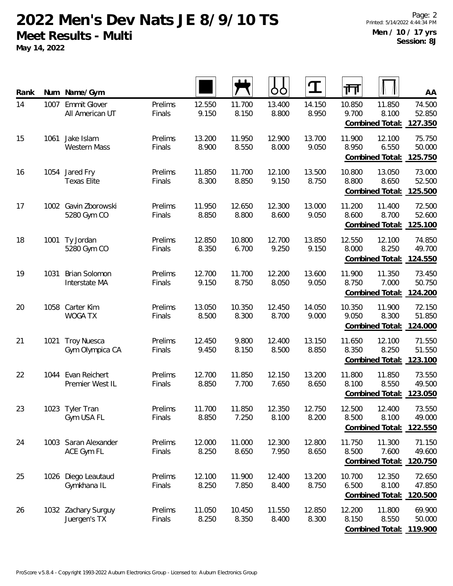**May 14, 2022**

| Rank |      | Num Name/Gym                           |                   |                 |                 | OO              | $\mathbf T$     | 帀               |                                    | AA                          |
|------|------|----------------------------------------|-------------------|-----------------|-----------------|-----------------|-----------------|-----------------|------------------------------------|-----------------------------|
| 14   | 1007 | <b>Emmit Glover</b><br>All American UT | Prelims<br>Finals | 12.550<br>9.150 | 11.700<br>8.150 | 13.400<br>8.800 | 14.150<br>8.950 | 10.850<br>9.700 | 11.850<br>8.100<br>Combined Total: | 74.500<br>52.850<br>127.350 |
| 15   | 1061 | Jake Islam<br><b>Western Mass</b>      | Prelims<br>Finals | 13.200<br>8.900 | 11.950<br>8.550 | 12.900<br>8.000 | 13.700<br>9.050 | 11.900<br>8.950 | 12.100<br>6.550<br>Combined Total: | 75.750<br>50.000<br>125.750 |
| 16   |      | 1054 Jared Fry<br><b>Texas Elite</b>   | Prelims<br>Finals | 11.850<br>8.300 | 11.700<br>8.850 | 12.100<br>9.150 | 13.500<br>8.750 | 10.800<br>8.800 | 13.050<br>8.650<br>Combined Total: | 73.000<br>52.500<br>125.500 |
| 17   | 1002 | Gavin Zborowski<br>5280 Gym CO         | Prelims<br>Finals | 11.950<br>8.850 | 12.650<br>8.800 | 12.300<br>8.600 | 13.000<br>9.050 | 11.200<br>8.600 | 11.400<br>8.700<br>Combined Total: | 72.500<br>52.600<br>125.100 |
| 18   | 1001 | Ty Jordan<br>5280 Gym CO               | Prelims<br>Finals | 12.850<br>8.350 | 10.800<br>6.700 | 12.700<br>9.250 | 13.850<br>9.150 | 12.550<br>8.000 | 12.100<br>8.250<br>Combined Total: | 74.850<br>49.700<br>124.550 |
| 19   | 1031 | <b>Brian Solomon</b><br>Interstate MA  | Prelims<br>Finals | 12.700<br>9.150 | 11.700<br>8.750 | 12.200<br>8.050 | 13.600<br>9.050 | 11.900<br>8.750 | 11.350<br>7.000<br>Combined Total: | 73.450<br>50.750<br>124.200 |
| 20   | 1058 | Carter Kim<br><b>WOGA TX</b>           | Prelims<br>Finals | 13.050<br>8.500 | 10.350<br>8.300 | 12.450<br>8.700 | 14.050<br>9.000 | 10.350<br>9.050 | 11.900<br>8.300<br>Combined Total: | 72.150<br>51.850<br>124.000 |
| 21   | 1021 | <b>Troy Nuesca</b><br>Gym Olympica CA  | Prelims<br>Finals | 12.450<br>9.450 | 9.800<br>8.150  | 12.400<br>8.500 | 13.150<br>8.850 | 11.650<br>8.350 | 12.100<br>8.250<br>Combined Total: | 71.550<br>51.550<br>123.100 |
| 22   | 1044 | Evan Reichert<br>Premier West IL       | Prelims<br>Finals | 12.700<br>8.850 | 11.850<br>7.700 | 12.150<br>7.650 | 13.200<br>8.650 | 11.800<br>8.100 | 11.850<br>8.550<br>Combined Total: | 73.550<br>49.500<br>123.050 |
| 23   | 1023 | Tyler Tran<br>Gym USA FL               | Prelims<br>Finals | 11.700<br>8.850 | 11.850<br>7.250 | 12.350<br>8.100 | 12.750<br>8.200 | 12.500<br>8.500 | 12.400<br>8.100<br>Combined Total: | 73.550<br>49.000<br>122.550 |
| 24   |      | 1003 Saran Alexander<br>ACE Gym FL     | Prelims<br>Finals | 12.000<br>8.250 | 11.000<br>8.650 | 12.300<br>7.950 | 12.800<br>8.650 | 11.750<br>8.500 | 11.300<br>7.600<br>Combined Total: | 71.150<br>49.600<br>120.750 |
| 25   | 1026 | Diego Leautaud<br>Gymkhana IL          | Prelims<br>Finals | 12.100<br>8.250 | 11.900<br>7.850 | 12.400<br>8.400 | 13.200<br>8.750 | 10.700<br>6.500 | 12.350<br>8.100<br>Combined Total: | 72.650<br>47.850<br>120.500 |
| 26   |      | 1032 Zachary Surguy<br>Juergen's TX    | Prelims<br>Finals | 11.050<br>8.250 | 10.450<br>8.350 | 11.550<br>8.400 | 12.850<br>8.300 | 12.200<br>8.150 | 11.800<br>8.550<br>Combined Total: | 69.900<br>50.000<br>119.900 |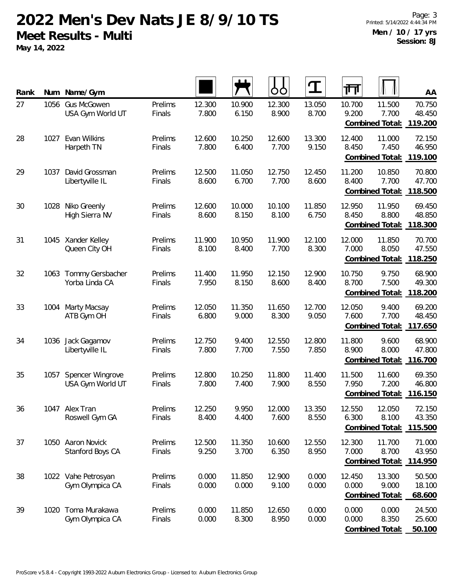**May 14, 2022**

| Rank | Num  | Name/Gym                               |                   |                 |                 | OO              | $\mathbf T$     | 帀               |                                           | AA                          |
|------|------|----------------------------------------|-------------------|-----------------|-----------------|-----------------|-----------------|-----------------|-------------------------------------------|-----------------------------|
| 27   | 1056 | <b>Gus McGowen</b><br>USA Gym World UT | Prelims<br>Finals | 12.300<br>7.800 | 10.900<br>6.150 | 12.300<br>8.900 | 13.050<br>8.700 | 10.700<br>9.200 | 11.500<br>7.700<br>Combined Total:        | 70.750<br>48.450<br>119.200 |
| 28   | 1027 | Evan Wilkins<br>Harpeth TN             | Prelims<br>Finals | 12.600<br>7.800 | 10.250<br>6.400 | 12.600<br>7.700 | 13.300<br>9.150 | 12.400<br>8.450 | 11.000<br>7.450<br>Combined Total:        | 72.150<br>46.950<br>119.100 |
| 29   | 1037 | David Grossman<br>Libertyville IL      | Prelims<br>Finals | 12.500<br>8.600 | 11.050<br>6.700 | 12.750<br>7.700 | 12.450<br>8.600 | 11.200<br>8.400 | 10.850<br>7.700<br>Combined Total:        | 70.800<br>47.700<br>118.500 |
| 30   | 1028 | Niko Greenly<br>High Sierra NV         | Prelims<br>Finals | 12.600<br>8.600 | 10.000<br>8.150 | 10.100<br>8.100 | 11.850<br>6.750 | 12.950<br>8.450 | 11.950<br>8.800<br>Combined Total:        | 69.450<br>48.850<br>118.300 |
| 31   | 1045 | Xander Kelley<br>Queen City OH         | Prelims<br>Finals | 11.900<br>8.100 | 10.950<br>8.400 | 11.900<br>7.700 | 12.100<br>8.300 | 12.000<br>7.000 | 11.850<br>8.050<br><b>Combined Total:</b> | 70.700<br>47.550<br>118.250 |
| 32   | 1063 | Tommy Gersbacher<br>Yorba Linda CA     | Prelims<br>Finals | 11.400<br>7.950 | 11.950<br>8.150 | 12.150<br>8.600 | 12.900<br>8.400 | 10.750<br>8.700 | 9.750<br>7.500<br>Combined Total:         | 68.900<br>49.300<br>118.200 |
| 33   | 1004 | <b>Marty Macsay</b><br>ATB Gym OH      | Prelims<br>Finals | 12.050<br>6.800 | 11.350<br>9.000 | 11.650<br>8.300 | 12.700<br>9.050 | 12.050<br>7.600 | 9.400<br>7.700<br>Combined Total:         | 69.200<br>48.450<br>117.650 |
| 34   |      | 1036 Jack Gagamov<br>Libertyville IL   | Prelims<br>Finals | 12.750<br>7.800 | 9.400<br>7.700  | 12.550<br>7.550 | 12.800<br>7.850 | 11.800<br>8.900 | 9.600<br>8.000<br>Combined Total:         | 68.900<br>47.800<br>116.700 |
| 35   | 1057 | Spencer Wingrove<br>USA Gym World UT   | Prelims<br>Finals | 12.800<br>7.800 | 10.250<br>7.400 | 11.800<br>7.900 | 11.400<br>8.550 | 11.500<br>7.950 | 11.600<br>7.200<br>Combined Total:        | 69.350<br>46.800<br>116.150 |
| 36   |      | 1047 Alex Tran<br>Roswell Gym GA       | Prelims<br>Finals | 12.250<br>8.400 | 9.950<br>4.400  | 12.000<br>7.600 | 13.350<br>8.550 | 12.550<br>6.300 | 12.050<br>8.100<br>Combined Total:        | 72.150<br>43.350<br>115.500 |
| 37   |      | 1050 Aaron Novick<br>Stanford Boys CA  | Prelims<br>Finals | 12.500<br>9.250 | 11.350<br>3.700 | 10.600<br>6.350 | 12.550<br>8.950 | 12.300<br>7.000 | 11.700<br>8.700<br>Combined Total:        | 71.000<br>43.950<br>114.950 |
| 38   |      | 1022 Vahe Petrosyan<br>Gym Olympica CA | Prelims<br>Finals | 0.000<br>0.000  | 11.850<br>0.000 | 12.900<br>9.100 | 0.000<br>0.000  | 12.450<br>0.000 | 13.300<br>9.000<br><b>Combined Total:</b> | 50.500<br>18.100<br>68.600  |
| 39   | 1020 | Toma Murakawa<br>Gym Olympica CA       | Prelims<br>Finals | 0.000<br>0.000  | 11.850<br>8.300 | 12.650<br>8.950 | 0.000<br>0.000  | 0.000<br>0.000  | 0.000<br>8.350<br>Combined Total:         | 24.500<br>25.600<br>50.100  |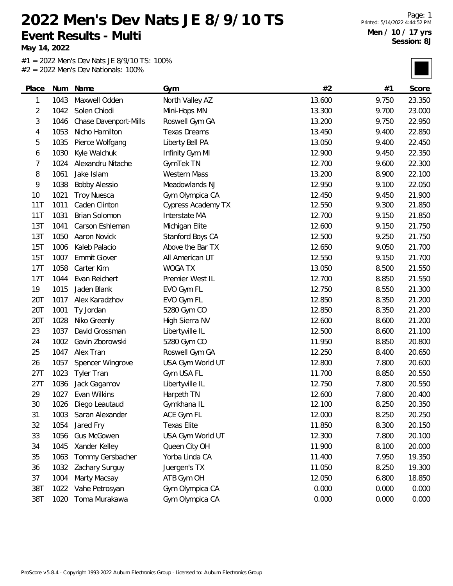**May 14, 2022**

| Place          | Num  | Name                  | Gym                       | #2     | #1    | Score  |
|----------------|------|-----------------------|---------------------------|--------|-------|--------|
| 1              | 1043 | Maxwell Odden         | North Valley AZ           | 13.600 | 9.750 | 23.350 |
| $\overline{2}$ | 1042 | Solen Chiodi          | Mini-Hops MN              | 13.300 | 9.700 | 23.000 |
| 3              | 1046 | Chase Davenport-Mills | Roswell Gym GA            | 13.200 | 9.750 | 22.950 |
| 4              | 1053 | Nicho Hamilton        | <b>Texas Dreams</b>       | 13.450 | 9.400 | 22.850 |
| 5              | 1035 | Pierce Wolfgang       | Liberty Bell PA           | 13.050 | 9.400 | 22.450 |
| 6              | 1030 | Kyle Walchuk          | Infinity Gym MI           | 12.900 | 9.450 | 22.350 |
| 7              | 1024 | Alexandru Nitache     | GymTek TN                 | 12.700 | 9.600 | 22.300 |
| 8              | 1061 | Jake Islam            | <b>Western Mass</b>       | 13.200 | 8.900 | 22.100 |
| 9              | 1038 | <b>Bobby Alessio</b>  | Meadowlands NJ            | 12.950 | 9.100 | 22.050 |
| 10             | 1021 | <b>Troy Nuesca</b>    | Gym Olympica CA           | 12.450 | 9.450 | 21.900 |
| 11T            | 1011 | Caden Clinton         | <b>Cypress Academy TX</b> | 12.550 | 9.300 | 21.850 |
| <b>11T</b>     | 1031 | Brian Solomon         | Interstate MA             | 12.700 | 9.150 | 21.850 |
| 13T            | 1041 | Carson Eshleman       | Michigan Elite            | 12.600 | 9.150 | 21.750 |
| 13T            | 1050 | Aaron Novick          | Stanford Boys CA          | 12.500 | 9.250 | 21.750 |
| 15T            | 1006 | Kaleb Palacio         | Above the Bar TX          | 12.650 | 9.050 | 21.700 |
| 15T            | 1007 | Emmit Glover          | All American UT           | 12.550 | 9.150 | 21.700 |
| 17T            | 1058 | Carter Kim            | <b>WOGA TX</b>            | 13.050 | 8.500 | 21.550 |
| <b>17T</b>     | 1044 | Evan Reichert         | Premier West IL           | 12.700 | 8.850 | 21.550 |
| 19             | 1015 | Jaden Blank           | EVO Gym FL                | 12.750 | 8.550 | 21.300 |
| 20T            | 1017 | Alex Karadzhov        | EVO Gym FL                | 12.850 | 8.350 | 21.200 |
| 20T            | 1001 | Ty Jordan             | 5280 Gym CO               | 12.850 | 8.350 | 21.200 |
| 20T            | 1028 | Niko Greenly          | High Sierra NV            | 12.600 | 8.600 | 21.200 |
| 23             | 1037 | David Grossman        | Libertyville IL           | 12.500 | 8.600 | 21.100 |
| 24             | 1002 | Gavin Zborowski       | 5280 Gym CO               | 11.950 | 8.850 | 20.800 |
| 25             | 1047 | Alex Tran             | Roswell Gym GA            | 12.250 | 8.400 | 20.650 |
| 26             | 1057 | Spencer Wingrove      | USA Gym World UT          | 12.800 | 7.800 | 20.600 |
| 27T            | 1023 | <b>Tyler Tran</b>     | Gym USA FL                | 11.700 | 8.850 | 20.550 |
| 27T            | 1036 | Jack Gagamov          | Libertyville IL           | 12.750 | 7.800 | 20.550 |
| 29             | 1027 | Evan Wilkins          | Harpeth TN                | 12.600 | 7.800 | 20.400 |
| 30             | 1026 | Diego Leautaud        | Gymkhana IL               | 12.100 | 8.250 | 20.350 |
| 31             | 1003 | Saran Alexander       | ACE Gym FL                | 12.000 | 8.250 | 20.250 |
| 32             | 1054 | Jared Fry             | <b>Texas Elite</b>        | 11.850 | 8.300 | 20.150 |
| 33             | 1056 | <b>Gus McGowen</b>    | USA Gym World UT          | 12.300 | 7.800 | 20.100 |
| 34             | 1045 | Xander Kelley         | Queen City OH             | 11.900 | 8.100 | 20.000 |
| 35             | 1063 | Tommy Gersbacher      | Yorba Linda CA            | 11.400 | 7.950 | 19.350 |
| 36             | 1032 | Zachary Surguy        | Juergen's TX              | 11.050 | 8.250 | 19.300 |
| 37             | 1004 | Marty Macsay          | ATB Gym OH                | 12.050 | 6.800 | 18.850 |
| 38T            | 1022 | Vahe Petrosyan        | Gym Olympica CA           | 0.000  | 0.000 | 0.000  |
| 38T            | 1020 | Toma Murakawa         | Gym Olympica CA           | 0.000  | 0.000 | 0.000  |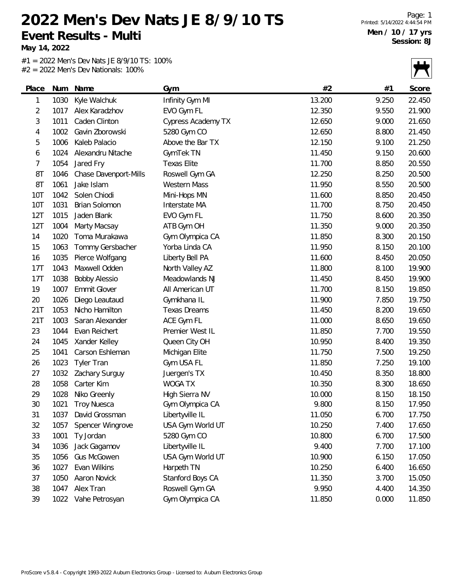**May 14, 2022**

|            |      |                       |                           |        |       | $\overline{\phantom{0}}$ |
|------------|------|-----------------------|---------------------------|--------|-------|--------------------------|
| Place      | Num  | Name                  | Gym                       | #2     | #1    | Score                    |
| 1          | 1030 | Kyle Walchuk          | Infinity Gym MI           | 13.200 | 9.250 | 22.450                   |
| 2          | 1017 | Alex Karadzhov        | EVO Gym FL                | 12.350 | 9.550 | 21.900                   |
| 3          | 1011 | Caden Clinton         | <b>Cypress Academy TX</b> | 12.650 | 9.000 | 21.650                   |
| 4          | 1002 | Gavin Zborowski       | 5280 Gym CO               | 12.650 | 8.800 | 21.450                   |
| 5          | 1006 | Kaleb Palacio         | Above the Bar TX          | 12.150 | 9.100 | 21.250                   |
| 6          | 1024 | Alexandru Nitache     | GymTek TN                 | 11.450 | 9.150 | 20.600                   |
| 7          | 1054 | Jared Fry             | <b>Texas Elite</b>        | 11.700 | 8.850 | 20.550                   |
| 8T         | 1046 | Chase Davenport-Mills | Roswell Gym GA            | 12.250 | 8.250 | 20.500                   |
| 8T         | 1061 | Jake Islam            | <b>Western Mass</b>       | 11.950 | 8.550 | 20.500                   |
| 10T        | 1042 | Solen Chiodi          | Mini-Hops MN              | 11.600 | 8.850 | 20.450                   |
| <b>10T</b> | 1031 | Brian Solomon         | Interstate MA             | 11.700 | 8.750 | 20.450                   |
| 12T        | 1015 | Jaden Blank           | EVO Gym FL                | 11.750 | 8.600 | 20.350                   |
| 12T        | 1004 | Marty Macsay          | ATB Gym OH                | 11.350 | 9.000 | 20.350                   |
| 14         | 1020 | Toma Murakawa         | Gym Olympica CA           | 11.850 | 8.300 | 20.150                   |
| 15         | 1063 | Tommy Gersbacher      | Yorba Linda CA            | 11.950 | 8.150 | 20.100                   |
| 16         | 1035 | Pierce Wolfgang       | Liberty Bell PA           | 11.600 | 8.450 | 20.050                   |
| 17T        | 1043 | Maxwell Odden         | North Valley AZ           | 11.800 | 8.100 | 19.900                   |
| 17T        | 1038 | <b>Bobby Alessio</b>  | Meadowlands NJ            | 11.450 | 8.450 | 19.900                   |
| 19         | 1007 | Emmit Glover          | All American UT           | 11.700 | 8.150 | 19.850                   |
| 20         | 1026 | Diego Leautaud        | Gymkhana IL               | 11.900 | 7.850 | 19.750                   |
| 21T        | 1053 | Nicho Hamilton        | <b>Texas Dreams</b>       | 11.450 | 8.200 | 19.650                   |
| 21T        | 1003 | Saran Alexander       | ACE Gym FL                | 11.000 | 8.650 | 19.650                   |
| 23         | 1044 | Evan Reichert         | Premier West IL           | 11.850 | 7.700 | 19.550                   |
| 24         | 1045 | Xander Kelley         | Queen City OH             | 10.950 | 8.400 | 19.350                   |
| 25         | 1041 | Carson Eshleman       | Michigan Elite            | 11.750 | 7.500 | 19.250                   |
| 26         | 1023 | <b>Tyler Tran</b>     | Gym USA FL                | 11.850 | 7.250 | 19.100                   |
| 27         | 1032 | Zachary Surguy        | Juergen's TX              | 10.450 | 8.350 | 18.800                   |
| 28         | 1058 | Carter Kim            | <b>WOGA TX</b>            | 10.350 | 8.300 | 18.650                   |
| 29         | 1028 | Niko Greenly          | High Sierra NV            | 10.000 | 8.150 | 18.150                   |
| 30         | 1021 | <b>Troy Nuesca</b>    | Gym Olympica CA           | 9.800  | 8.150 | 17.950                   |
| 31         | 1037 | David Grossman        | Libertyville IL           | 11.050 | 6.700 | 17.750                   |
| 32         | 1057 | Spencer Wingrove      | USA Gym World UT          | 10.250 | 7.400 | 17.650                   |
| 33         | 1001 | Ty Jordan             | 5280 Gym CO               | 10.800 | 6.700 | 17.500                   |
| 34         | 1036 | Jack Gagamov          | Libertyville IL           | 9.400  | 7.700 | 17.100                   |
| 35         | 1056 | Gus McGowen           | USA Gym World UT          | 10.900 | 6.150 | 17.050                   |
| 36         | 1027 | Evan Wilkins          | Harpeth TN                | 10.250 | 6.400 | 16.650                   |
| 37         | 1050 | Aaron Novick          | Stanford Boys CA          | 11.350 | 3.700 | 15.050                   |
| 38         | 1047 | Alex Tran             | Roswell Gym GA            | 9.950  | 4.400 | 14.350                   |
| 39         | 1022 | Vahe Petrosyan        | Gym Olympica CA           | 11.850 | 0.000 | 11.850                   |
|            |      |                       |                           |        |       |                          |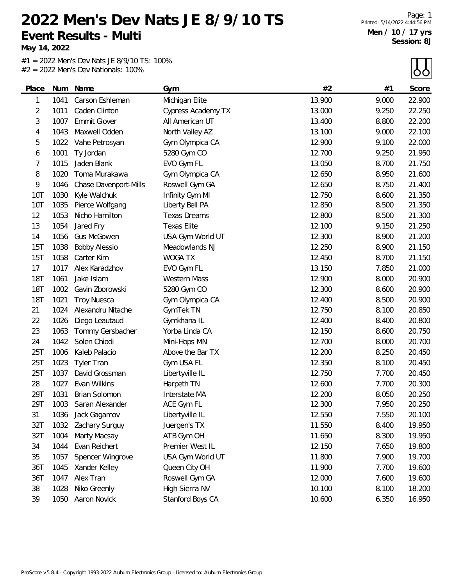**May 14, 2022**

| Place      | Num  | Name                  | Gym                       | #2     | #1    | Score  |
|------------|------|-----------------------|---------------------------|--------|-------|--------|
| 1          | 1041 | Carson Eshleman       | Michigan Elite            | 13.900 | 9.000 | 22.900 |
| 2          | 1011 | Caden Clinton         | <b>Cypress Academy TX</b> | 13.000 | 9.250 | 22.250 |
| 3          | 1007 | Emmit Glover          | All American UT           | 13.400 | 8.800 | 22.200 |
| 4          | 1043 | Maxwell Odden         | North Valley AZ           | 13.100 | 9.000 | 22.100 |
| 5          | 1022 | Vahe Petrosyan        | Gym Olympica CA           | 12.900 | 9.100 | 22.000 |
| 6          | 1001 | Ty Jordan             | 5280 Gym CO               | 12.700 | 9.250 | 21.950 |
| 7          | 1015 | Jaden Blank           | EVO Gym FL                | 13.050 | 8.700 | 21.750 |
| 8          | 1020 | Toma Murakawa         | Gym Olympica CA           | 12.650 | 8.950 | 21.600 |
| 9          | 1046 | Chase Davenport-Mills | Roswell Gym GA            | 12.650 | 8.750 | 21.400 |
| <b>10T</b> | 1030 | Kyle Walchuk          | Infinity Gym MI           | 12.750 | 8.600 | 21.350 |
| <b>10T</b> | 1035 | Pierce Wolfgang       | Liberty Bell PA           | 12.850 | 8.500 | 21.350 |
| 12         | 1053 | Nicho Hamilton        | <b>Texas Dreams</b>       | 12.800 | 8.500 | 21.300 |
| 13         | 1054 | Jared Fry             | <b>Texas Elite</b>        | 12.100 | 9.150 | 21.250 |
| 14         | 1056 | <b>Gus McGowen</b>    | USA Gym World UT          | 12.300 | 8.900 | 21.200 |
| 15T        | 1038 | <b>Bobby Alessio</b>  | Meadowlands NJ            | 12.250 | 8.900 | 21.150 |
| 15T        | 1058 | Carter Kim            | <b>WOGA TX</b>            | 12.450 | 8.700 | 21.150 |
| 17         | 1017 | Alex Karadzhov        | EVO Gym FL                | 13.150 | 7.850 | 21.000 |
| <b>18T</b> | 1061 | Jake Islam            | <b>Western Mass</b>       | 12.900 | 8.000 | 20.900 |
| <b>18T</b> | 1002 | Gavin Zborowski       | 5280 Gym CO               | 12.300 | 8.600 | 20.900 |
| <b>18T</b> | 1021 | <b>Troy Nuesca</b>    | Gym Olympica CA           | 12.400 | 8.500 | 20.900 |
| 21         | 1024 | Alexandru Nitache     | GymTek TN                 | 12.750 | 8.100 | 20.850 |
| 22         | 1026 | Diego Leautaud        | Gymkhana IL               | 12.400 | 8.400 | 20.800 |
| 23         | 1063 | Tommy Gersbacher      | Yorba Linda CA            | 12.150 | 8.600 | 20.750 |
| 24         | 1042 | Solen Chiodi          | Mini-Hops MN              | 12.700 | 8.000 | 20.700 |
| 25T        | 1006 | Kaleb Palacio         | Above the Bar TX          | 12.200 | 8.250 | 20.450 |
| 25T        | 1023 | <b>Tyler Tran</b>     | Gym USA FL                | 12.350 | 8.100 | 20.450 |
| 25T        | 1037 | David Grossman        | Libertyville IL           | 12.750 | 7.700 | 20.450 |
| 28         | 1027 | Evan Wilkins          | Harpeth TN                | 12.600 | 7.700 | 20.300 |
| 29T        | 1031 | Brian Solomon         | Interstate MA             | 12.200 | 8.050 | 20.250 |
| 29T        | 1003 | Saran Alexander       | ACE Gym FL                | 12.300 | 7.950 | 20.250 |
| 31         | 1036 | Jack Gagamov          | Libertyville IL           | 12.550 | 7.550 | 20.100 |
| 32T        | 1032 | Zachary Surguy        | Juergen's TX              | 11.550 | 8.400 | 19.950 |
| 32T        | 1004 | Marty Macsay          | ATB Gym OH                | 11.650 | 8.300 | 19.950 |
| 34         | 1044 | Evan Reichert         | Premier West IL           | 12.150 | 7.650 | 19.800 |
| 35         | 1057 | Spencer Wingrove      | USA Gym World UT          | 11.800 | 7.900 | 19.700 |
| 36T        | 1045 | Xander Kelley         | Queen City OH             | 11.900 | 7.700 | 19.600 |
| 36T        | 1047 | Alex Tran             | Roswell Gym GA            | 12.000 | 7.600 | 19.600 |
| 38         | 1028 | Niko Greenly          | High Sierra NV            | 10.100 | 8.100 | 18.200 |
| 39         | 1050 | Aaron Novick          | Stanford Boys CA          | 10.600 | 6.350 | 16.950 |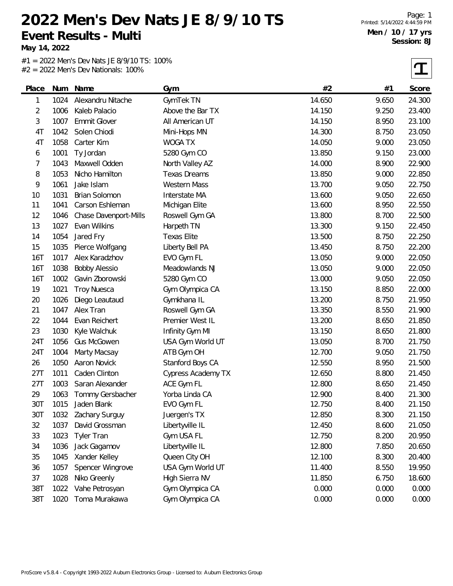**May 14, 2022**

÷

#1 = 2022 Men's Dev Nats JE 8/9/10 TS: 100% #2 = 2022 Men's Dev Nationals: 100%

 $\tau$ 

| Place      | Num  | Name                  | Gym                       | #2     | #1    | Score  |
|------------|------|-----------------------|---------------------------|--------|-------|--------|
| 1          | 1024 | Alexandru Nitache     | GymTek TN                 | 14.650 | 9.650 | 24.300 |
| 2          | 1006 | Kaleb Palacio         | Above the Bar TX          | 14.150 | 9.250 | 23.400 |
| 3          | 1007 | <b>Emmit Glover</b>   | All American UT           | 14.150 | 8.950 | 23.100 |
| 4T         | 1042 | Solen Chiodi          | Mini-Hops MN              | 14.300 | 8.750 | 23.050 |
| 4T         | 1058 | Carter Kim            | <b>WOGA TX</b>            | 14.050 | 9.000 | 23.050 |
| 6          | 1001 | Ty Jordan             | 5280 Gym CO               | 13.850 | 9.150 | 23.000 |
| 7          | 1043 | Maxwell Odden         | North Valley AZ           | 14.000 | 8.900 | 22.900 |
| 8          | 1053 | Nicho Hamilton        | <b>Texas Dreams</b>       | 13.850 | 9.000 | 22.850 |
| 9          | 1061 | Jake Islam            | <b>Western Mass</b>       | 13.700 | 9.050 | 22.750 |
| 10         | 1031 | Brian Solomon         | Interstate MA             | 13.600 | 9.050 | 22.650 |
| 11         | 1041 | Carson Eshleman       | Michigan Elite            | 13.600 | 8.950 | 22.550 |
| 12         | 1046 | Chase Davenport-Mills | Roswell Gym GA            | 13.800 | 8.700 | 22.500 |
| 13         | 1027 | Evan Wilkins          | Harpeth TN                | 13.300 | 9.150 | 22.450 |
| 14         | 1054 | Jared Fry             | <b>Texas Elite</b>        | 13.500 | 8.750 | 22.250 |
| 15         | 1035 | Pierce Wolfgang       | Liberty Bell PA           | 13.450 | 8.750 | 22.200 |
| <b>16T</b> | 1017 | Alex Karadzhov        | EVO Gym FL                | 13.050 | 9.000 | 22.050 |
| 16T        | 1038 | <b>Bobby Alessio</b>  | Meadowlands NJ            | 13.050 | 9.000 | 22.050 |
| 16T        | 1002 | Gavin Zborowski       | 5280 Gym CO               | 13.000 | 9.050 | 22.050 |
| 19         | 1021 | <b>Troy Nuesca</b>    | Gym Olympica CA           | 13.150 | 8.850 | 22.000 |
| 20         | 1026 | Diego Leautaud        | Gymkhana IL               | 13.200 | 8.750 | 21.950 |
| 21         | 1047 | Alex Tran             | Roswell Gym GA            | 13.350 | 8.550 | 21.900 |
| 22         | 1044 | Evan Reichert         | Premier West IL           | 13.200 | 8.650 | 21.850 |
| 23         | 1030 | Kyle Walchuk          | Infinity Gym MI           | 13.150 | 8.650 | 21.800 |
| 24T        | 1056 | <b>Gus McGowen</b>    | USA Gym World UT          | 13.050 | 8.700 | 21.750 |
| 24T        | 1004 | Marty Macsay          | ATB Gym OH                | 12.700 | 9.050 | 21.750 |
| 26         | 1050 | Aaron Novick          | Stanford Boys CA          | 12.550 | 8.950 | 21.500 |
| 27T        | 1011 | Caden Clinton         | <b>Cypress Academy TX</b> | 12.650 | 8.800 | 21.450 |
| 27T        | 1003 | Saran Alexander       | ACE Gym FL                | 12.800 | 8.650 | 21.450 |
| 29         | 1063 | Tommy Gersbacher      | Yorba Linda CA            | 12.900 | 8.400 | 21.300 |
| 30T        | 1015 | Jaden Blank           | EVO Gym FL                | 12.750 | 8.400 | 21.150 |
| 30T        | 1032 | Zachary Surguy        | Juergen's TX              | 12.850 | 8.300 | 21.150 |
| 32         | 1037 | David Grossman        | Libertyville IL           | 12.450 | 8.600 | 21.050 |
| 33         | 1023 | <b>Tyler Tran</b>     | Gym USA FL                | 12.750 | 8.200 | 20.950 |
| 34         | 1036 | Jack Gagamov          | Libertyville IL           | 12.800 | 7.850 | 20.650 |
| 35         | 1045 | Xander Kelley         | Queen City OH             | 12.100 | 8.300 | 20.400 |
| 36         | 1057 | Spencer Wingrove      | USA Gym World UT          | 11.400 | 8.550 | 19.950 |
| 37         | 1028 | Niko Greenly          | High Sierra NV            | 11.850 | 6.750 | 18.600 |
| 38T        | 1022 | Vahe Petrosyan        | Gym Olympica CA           | 0.000  | 0.000 | 0.000  |
| 38T        | 1020 | Toma Murakawa         | Gym Olympica CA           | 0.000  | 0.000 | 0.000  |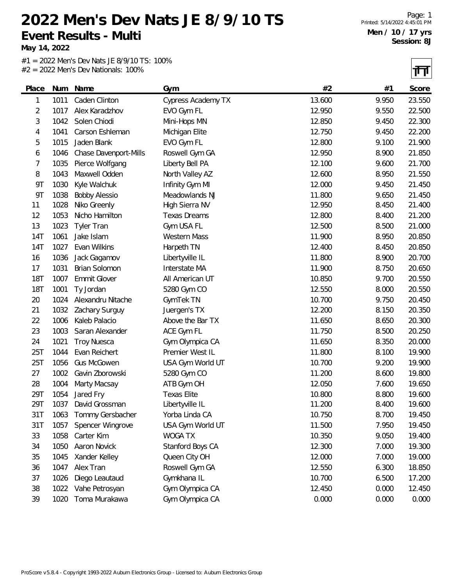**May 14, 2022**

#1 = 2022 Men's Dev Nats JE 8/9/10 TS: 100% #2 = 2022 Men's Dev Nationals: 100%

 $\overline{\mathbf{H}}$ 

|            |      |                       |                           |        |       | .      |
|------------|------|-----------------------|---------------------------|--------|-------|--------|
| Place      | Num  | Name                  | Gym                       | #2     | #1    | Score  |
| 1          | 1011 | Caden Clinton         | <b>Cypress Academy TX</b> | 13.600 | 9.950 | 23.550 |
| 2          | 1017 | Alex Karadzhov        | EVO Gym FL                | 12.950 | 9.550 | 22.500 |
| 3          | 1042 | Solen Chiodi          | Mini-Hops MN              | 12.850 | 9.450 | 22.300 |
| 4          | 1041 | Carson Eshleman       | Michigan Elite            | 12.750 | 9.450 | 22.200 |
| 5          | 1015 | Jaden Blank           | EVO Gym FL                | 12.800 | 9.100 | 21.900 |
| 6          | 1046 | Chase Davenport-Mills | Roswell Gym GA            | 12.950 | 8.900 | 21.850 |
| 7          | 1035 | Pierce Wolfgang       | Liberty Bell PA           | 12.100 | 9.600 | 21.700 |
| 8          | 1043 | Maxwell Odden         | North Valley AZ           | 12.600 | 8.950 | 21.550 |
| <b>9T</b>  | 1030 | Kyle Walchuk          | Infinity Gym MI           | 12.000 | 9.450 | 21.450 |
| 9T         | 1038 | <b>Bobby Alessio</b>  | Meadowlands NJ            | 11.800 | 9.650 | 21.450 |
| 11         | 1028 | Niko Greenly          | High Sierra NV            | 12.950 | 8.450 | 21.400 |
| 12         | 1053 | Nicho Hamilton        | <b>Texas Dreams</b>       | 12.800 | 8.400 | 21.200 |
| 13         | 1023 | <b>Tyler Tran</b>     | Gym USA FL                | 12.500 | 8.500 | 21.000 |
| 14T        | 1061 | Jake Islam            | <b>Western Mass</b>       | 11.900 | 8.950 | 20.850 |
| 14T        | 1027 | Evan Wilkins          | Harpeth TN                | 12.400 | 8.450 | 20.850 |
| 16         | 1036 | Jack Gagamov          | Libertyville IL           | 11.800 | 8.900 | 20.700 |
| 17         | 1031 | Brian Solomon         | Interstate MA             | 11.900 | 8.750 | 20.650 |
| <b>18T</b> | 1007 | <b>Emmit Glover</b>   | All American UT           | 10.850 | 9.700 | 20.550 |
| <b>18T</b> | 1001 | Ty Jordan             | 5280 Gym CO               | 12.550 | 8.000 | 20.550 |
| 20         | 1024 | Alexandru Nitache     | GymTek TN                 | 10.700 | 9.750 | 20.450 |
| 21         | 1032 | Zachary Surguy        | Juergen's TX              | 12.200 | 8.150 | 20.350 |
| 22         | 1006 | Kaleb Palacio         | Above the Bar TX          | 11.650 | 8.650 | 20.300 |
| 23         | 1003 | Saran Alexander       | ACE Gym FL                | 11.750 | 8.500 | 20.250 |
| 24         | 1021 | <b>Troy Nuesca</b>    | Gym Olympica CA           | 11.650 | 8.350 | 20.000 |
| 25T        | 1044 | Evan Reichert         | Premier West IL           | 11.800 | 8.100 | 19.900 |
| 25T        | 1056 | <b>Gus McGowen</b>    | USA Gym World UT          | 10.700 | 9.200 | 19.900 |
| 27         | 1002 | Gavin Zborowski       | 5280 Gym CO               | 11.200 | 8.600 | 19.800 |
| 28         | 1004 | Marty Macsay          | ATB Gym OH                | 12.050 | 7.600 | 19.650 |
| 29T        | 1054 | Jared Fry             | <b>Texas Elite</b>        | 10.800 | 8.800 | 19.600 |
| 29T        | 1037 | David Grossman        | Libertyville IL           | 11.200 | 8.400 | 19.600 |
| 31T        | 1063 | Tommy Gersbacher      | Yorba Linda CA            | 10.750 | 8.700 | 19.450 |
| 31T        | 1057 | Spencer Wingrove      | USA Gym World UT          | 11.500 | 7.950 | 19.450 |
| 33         | 1058 | Carter Kim            | WOGA TX                   | 10.350 | 9.050 | 19.400 |
| 34         | 1050 | Aaron Novick          | Stanford Boys CA          | 12.300 | 7.000 | 19.300 |
| 35         | 1045 | Xander Kelley         | Queen City OH             | 12.000 | 7.000 | 19.000 |
| 36         | 1047 | Alex Tran             | Roswell Gym GA            | 12.550 | 6.300 | 18.850 |
| 37         | 1026 | Diego Leautaud        | Gymkhana IL               | 10.700 | 6.500 | 17.200 |
| 38         | 1022 | Vahe Petrosyan        | Gym Olympica CA           | 12.450 | 0.000 | 12.450 |
| 39         | 1020 | Toma Murakawa         | Gym Olympica CA           | 0.000  | 0.000 | 0.000  |